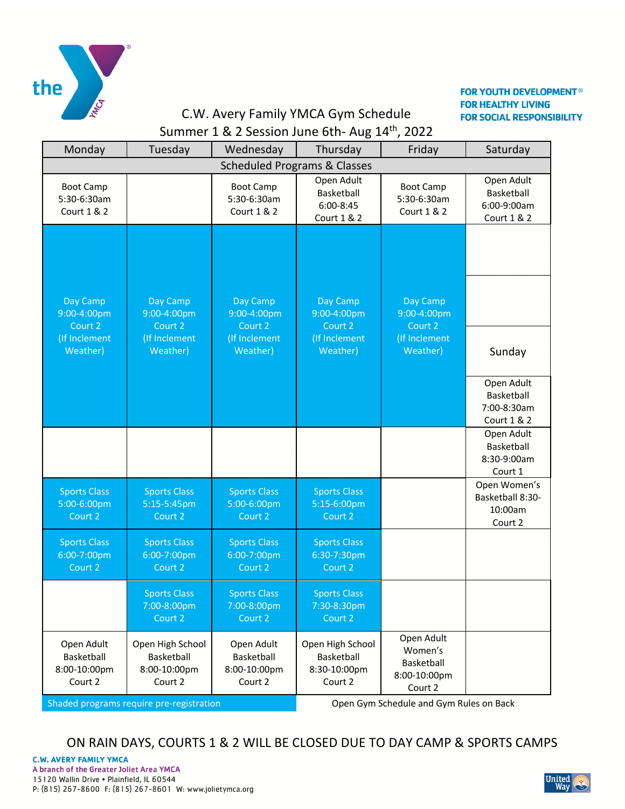

#### **FOR YOUTH DEVELOPMENT<sup>®</sup> FOR HEALTHY LIVING FOR SOCIAL RESPONSIBILITY**

# C.W. Avery Family YMCA Gym Schedule Summer 1 & 2 Session June 6th- Aug 14<sup>th</sup>, 2022

| Monday                                                                              | Tuesday                                                   | Wednesday                                           | Thursday                                                  | Friday                                                         | Saturday                                               |  |  |  |  |  |
|-------------------------------------------------------------------------------------|-----------------------------------------------------------|-----------------------------------------------------|-----------------------------------------------------------|----------------------------------------------------------------|--------------------------------------------------------|--|--|--|--|--|
| <b>Scheduled Programs &amp; Classes</b>                                             |                                                           |                                                     |                                                           |                                                                |                                                        |  |  |  |  |  |
| <b>Boot Camp</b><br>5:30-6:30am<br><b>Court 1 &amp; 2</b>                           |                                                           | <b>Boot Camp</b><br>5:30-6:30am<br>Court 1 & 2      | Open Adult<br>Basketball<br>6:00-8:45<br>Court 1 & 2      | <b>Boot Camp</b><br>5:30-6:30am<br><b>Court 1 &amp; 2</b>      | Open Adult<br>Basketball<br>6:00-9:00am<br>Court 1 & 2 |  |  |  |  |  |
| Day Camp<br>9:00-4:00pm<br>Court 2                                                  | Day Camp<br>9:00-4:00pm<br>Court 2                        | Day Camp<br>9:00-4:00pm<br>Court 2                  | Day Camp<br>9:00-4:00pm<br>Court 2                        | Day Camp<br>9:00-4:00pm<br>Court 2                             |                                                        |  |  |  |  |  |
| (If Inclement<br>Weather)                                                           | (If Inclement<br>Weather)                                 | (If Inclement<br>Weather)                           | (If Inclement<br>Weather)                                 | (If Inclement<br>Weather)                                      | Sunday                                                 |  |  |  |  |  |
|                                                                                     |                                                           |                                                     |                                                           |                                                                | Open Adult<br>Basketball<br>7:00-8:30am<br>Court 1 & 2 |  |  |  |  |  |
|                                                                                     |                                                           |                                                     |                                                           |                                                                | Open Adult<br>Basketball<br>8:30-9:00am<br>Court 1     |  |  |  |  |  |
| <b>Sports Class</b><br>5:00-6:00pm<br>Court 2                                       | <b>Sports Class</b><br>5:15-5:45pm<br>Court 2             | <b>Sports Class</b><br>5:00-6:00pm<br>Court 2       | <b>Sports Class</b><br>5:15-6:00pm<br>Court 2             |                                                                | Open Women's<br>Basketball 8:30-<br>10:00am<br>Court 2 |  |  |  |  |  |
| <b>Sports Class</b><br>6:00-7:00pm<br>Court 2                                       | <b>Sports Class</b><br>6:00-7:00pm<br>Court 2             | <b>Sports Class</b><br>6:00-7:00pm<br>Court 2       | <b>Sports Class</b><br>6:30-7:30pm<br>Court 2             |                                                                |                                                        |  |  |  |  |  |
|                                                                                     | <b>Sports Class</b><br>7:00-8:00pm<br>Court 2             | <b>Sports Class</b><br>7:00-8:00pm<br>Court 2       | <b>Sports Class</b><br>7:30-8:30pm<br>Court 2             |                                                                |                                                        |  |  |  |  |  |
| Open Adult<br>Basketball<br>8:00-10:00pm<br>Court 2                                 | Open High School<br>Basketball<br>8:00-10:00pm<br>Court 2 | Open Adult<br>Basketball<br>8:00-10:00pm<br>Court 2 | Open High School<br>Basketball<br>8:30-10:00pm<br>Court 2 | Open Adult<br>Women's<br>Basketball<br>8:00-10:00pm<br>Court 2 |                                                        |  |  |  |  |  |
| Open Gym Schedule and Gym Rules on Back<br>Shaded programs require pre-registration |                                                           |                                                     |                                                           |                                                                |                                                        |  |  |  |  |  |

ON RAIN DAYS, COURTS 1 & 2 WILL BE CLOSED DUE TO DAY CAMP & SPORTS CAMPS